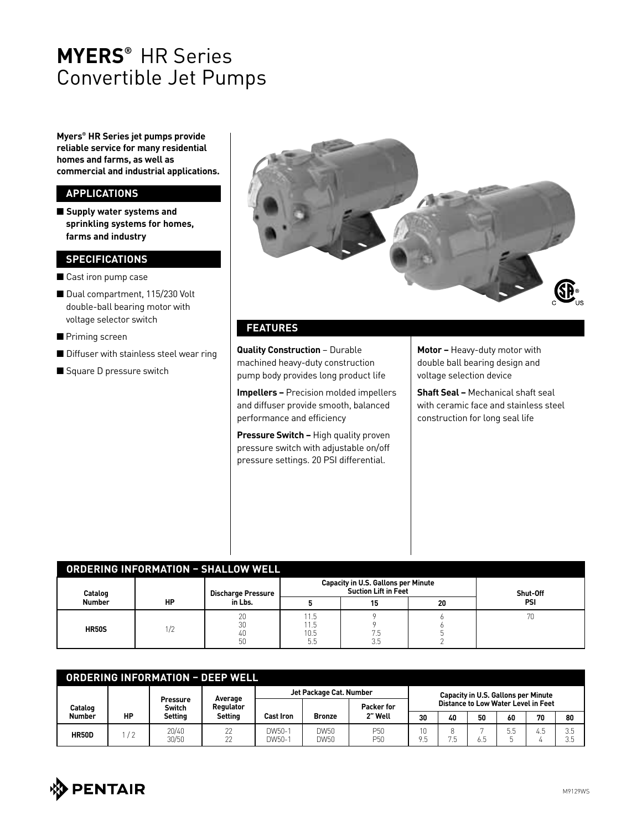## **MYERS®** HR Series Convertible Jet Pumps

**Myers® HR Series jet pumps provide reliable service for many residential homes and farms, as well as commercial and industrial applications.**

### **APPLICATIONS**

■ Supply water systems and **sprinkling systems for homes, farms and industry**

#### **SPECIFICATIONS**

- Cast iron pump case
- Dual compartment, 115/230 Volt double-ball bearing motor with voltage selector switch
- Priming screen
- $\blacksquare$  Diffuser with stainless steel wear ring
- Square D pressure switch



#### **FEATURES**

**Quality Construction** – Durable machined heavy-duty construction pump body provides long product life

**Impellers –** Precision molded impellers and diffuser provide smooth, balanced performance and efficiency

**Pressure Switch – High quality proven** pressure switch with adjustable on/off pressure settings. 20 PSI differential.

**Motor –** Heavy-duty motor with double ball bearing design and voltage selection device

**Shaft Seal –** Mechanical shaft seal with ceramic face and stainless steel construction for long seal life

| <b>ORDERING INFORMATION - SHALLOW WELL</b> |     |                                      |             |                                                                           |          |     |  |  |  |
|--------------------------------------------|-----|--------------------------------------|-------------|---------------------------------------------------------------------------|----------|-----|--|--|--|
| Catalog                                    | HP  | <b>Discharge Pressure</b><br>in Lbs. |             | <b>Capacity in U.S. Gallons per Minute</b><br><b>Suction Lift in Feet</b> | Shut-Off |     |  |  |  |
| <b>Number</b>                              |     |                                      |             |                                                                           | 20       | PSI |  |  |  |
| <b>HR50S</b>                               | 1/2 | 20<br>30                             | 1.5<br>11.5 |                                                                           |          |     |  |  |  |
|                                            |     | 40<br>50                             | 10.5<br>5.5 | ں.<br>ن ر                                                                 |          |     |  |  |  |

| <b>ORDERING INFORMATION - DEEP WELL</b> |               |                                      |                                        |                         |               |                        |                                            |    |      |     |     |           |
|-----------------------------------------|---------------|--------------------------------------|----------------------------------------|-------------------------|---------------|------------------------|--------------------------------------------|----|------|-----|-----|-----------|
|                                         |               |                                      |                                        | Jet Package Cat. Number |               |                        | <b>Capacity in U.S. Gallons per Minute</b> |    |      |     |     |           |
| Catalog<br><b>Number</b>                | НP            | <b>Pressure</b><br>Switch<br>Setting | Average<br>Regulator<br><b>Setting</b> | Cast Iron               | <b>Bronze</b> | Packer for<br>2" Well  | Distance to Low Water Level in Feet        |    |      |     |     |           |
|                                         |               |                                      |                                        |                         |               |                        | 30                                         | 40 | 50   | 60  | 70  | 80        |
| <b>HR50D</b>                            | $\frac{1}{2}$ | 20/40<br>30/50                       | 22<br>22                               | DW50-1<br>DW50-1        | DW50<br>DW50  | P <sub>50</sub><br>P50 | - 11                                       | 5  | 6. ე | 5.5 | 4.5 | 3.5<br>つに |